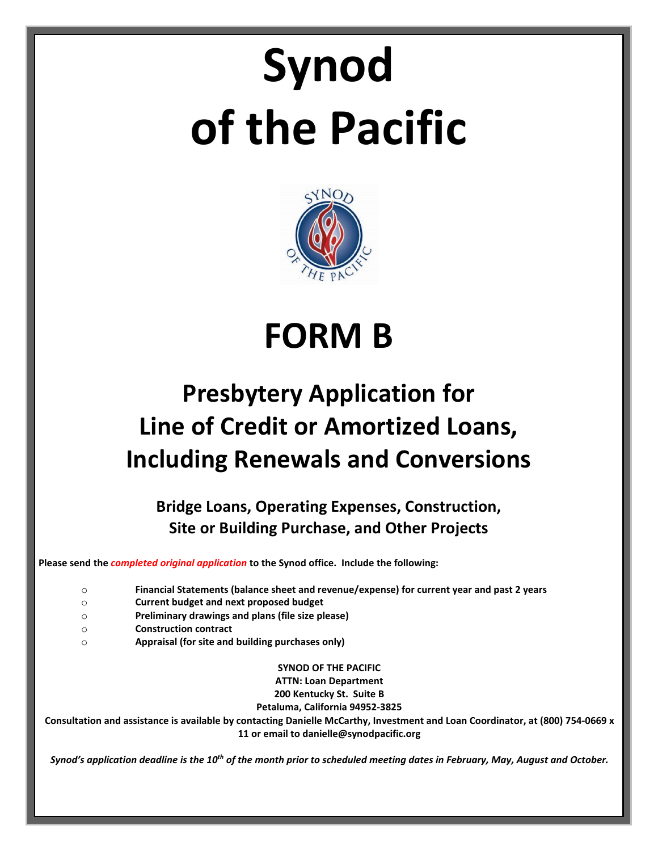# **Synod of the Pacific**



## **FORM B**

### **Presbytery Application for Line of Credit or Amortized Loans, Including Renewals and Conversions**

**Bridge Loans, Operating Expenses, Construction, Site or Building Purchase, and Other Projects**

**Please send the** *completed original application* **to the Synod office. Include the following:**

- o **Financial Statements (balance sheet and revenue/expense) for current year and past 2 years**
- o **Current budget and next proposed budget**
- o **Preliminary drawings and plans (file size please)**
- o **Construction contract**
- o **Appraisal (for site and building purchases only)**

**SYNOD OF THE PACIFIC ATTN: Loan Department 200 Kentucky St. Suite B**

**Petaluma, California 94952-3825**

**Consultation and assistance is available by contacting Danielle McCarthy, Investment and Loan Coordinator, at (800) 754-0669 x 11 or email to danielle@synodpacific.org**

*Synod's application deadline is the 10th of the month prior to scheduled meeting dates in February, May, August and October.*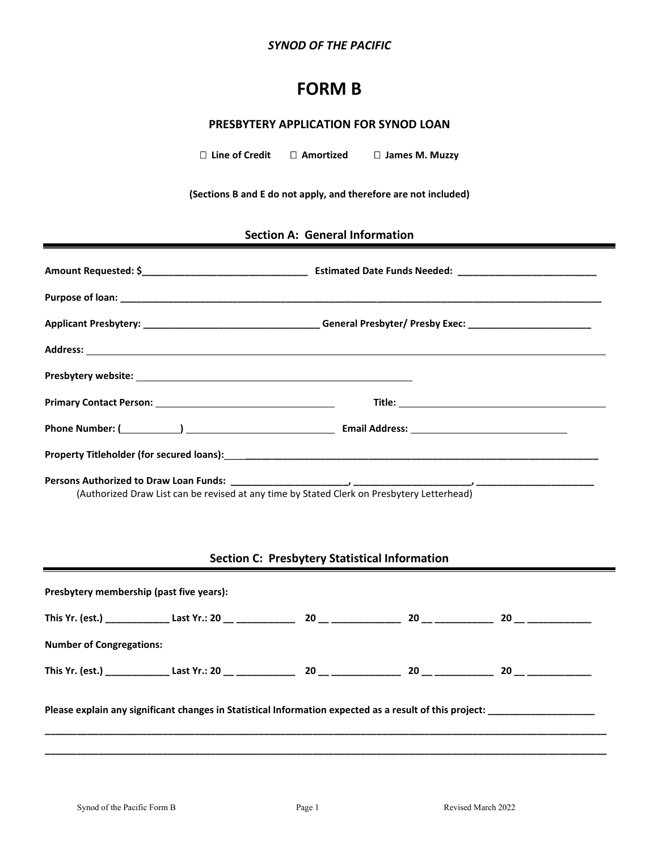#### *SYNOD OF THE PACIFIC*

#### **FORM B**

#### **PRESBYTERY APPLICATION FOR SYNOD LOAN**

 **Line of Credit Amortized James M. Muzzy**

**(Sections B and E do not apply, and therefore are not included)**

#### **Section A: General Information**

|                                                                                                                      | Applicant Presbytery: ________________________________General Presbyter/ Presby Exec: ________________________ |
|----------------------------------------------------------------------------------------------------------------------|----------------------------------------------------------------------------------------------------------------|
|                                                                                                                      |                                                                                                                |
|                                                                                                                      |                                                                                                                |
| Primary Contact Person: New York Contact Person:                                                                     |                                                                                                                |
|                                                                                                                      |                                                                                                                |
|                                                                                                                      |                                                                                                                |
| المقارب المستحدث والمستحيل والمستحدث والمستحدث والمستحدث والمستحدث والمستحدث والمستحدث والمستحدث والمستحدث والمستحدث |                                                                                                                |

(Authorized Draw List can be revised at any time by Stated Clerk on Presbytery Letterhead)

#### **Section C: Presbytery Statistical Information**

| Presbytery membership (past five years): |                                                                                                                                         |  |  |
|------------------------------------------|-----------------------------------------------------------------------------------------------------------------------------------------|--|--|
|                                          |                                                                                                                                         |  |  |
| <b>Number of Congregations:</b>          |                                                                                                                                         |  |  |
|                                          |                                                                                                                                         |  |  |
|                                          | Please explain any significant changes in Statistical Information expected as a result of this project: _______________________________ |  |  |
|                                          |                                                                                                                                         |  |  |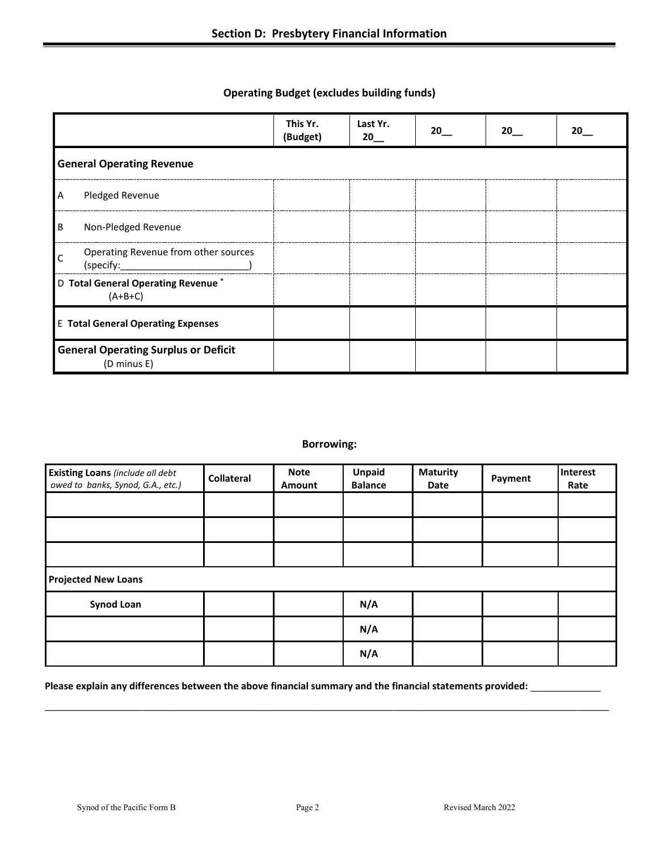#### **Operating Budget (excludes building funds)**

|              |                                                             | This Yr.<br>(Budget) | Last Yr.<br>20 | 20 | 20 | 20 |
|--------------|-------------------------------------------------------------|----------------------|----------------|----|----|----|
|              | <b>General Operating Revenue</b>                            |                      |                |    |    |    |
| A            | Pledged Revenue                                             |                      |                |    |    |    |
| ΙB           | Non-Pledged Revenue                                         |                      |                |    |    |    |
| $\mathsf{C}$ | Operating Revenue from other sources<br>(specify:           |                      |                |    |    |    |
|              | D Total General Operating Revenue <sup>*</sup><br>$(A+B+C)$ |                      |                |    |    |    |
|              | <b>E</b> Total General Operating Expenses                   |                      |                |    |    |    |
|              | <b>General Operating Surplus or Deficit</b><br>(D minus E)  |                      |                |    |    |    |

#### **Borrowing:**

| <b>Existing Loans</b> (include all debt<br>owed to banks, Synod, G.A., etc.) | <b>Collateral</b> | <b>Note</b><br>Amount | Unpaid<br><b>Balance</b> | <b>Maturity</b><br>Date | Payment | Interest<br>Rate |
|------------------------------------------------------------------------------|-------------------|-----------------------|--------------------------|-------------------------|---------|------------------|
|                                                                              |                   |                       |                          |                         |         |                  |
|                                                                              |                   |                       |                          |                         |         |                  |
|                                                                              |                   |                       |                          |                         |         |                  |
| <b>Projected New Loans</b>                                                   |                   |                       |                          |                         |         |                  |
| <b>Synod Loan</b>                                                            |                   |                       | N/A                      |                         |         |                  |
|                                                                              |                   |                       | N/A                      |                         |         |                  |
|                                                                              |                   |                       | N/A                      |                         |         |                  |

**\_\_\_\_\_\_\_\_\_\_\_\_\_\_\_\_\_\_\_\_\_\_\_\_\_\_\_\_\_\_\_\_\_\_\_\_\_\_\_\_\_\_\_\_\_\_\_\_\_\_\_\_\_\_\_\_\_\_\_\_\_\_\_\_\_\_\_\_\_\_\_\_\_\_\_\_\_\_\_\_\_\_\_\_\_\_\_\_\_\_\_\_\_\_\_\_\_\_\_\_\_\_\_\_\_**

#### **Please explain any differences between the above financial summary and the financial statements provided: \_\_\_\_\_\_\_\_\_\_\_\_\_**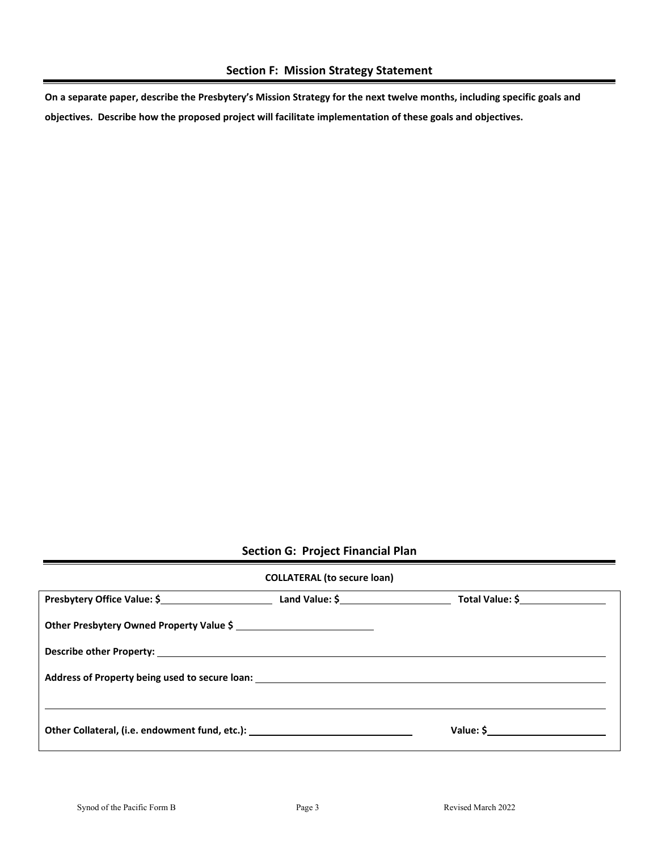**On a separate paper, describe the Presbytery's Mission Strategy for the next twelve months, including specific goals and objectives. Describe how the proposed project will facilitate implementation of these goals and objectives.**

#### **Section G: Project Financial Plan**

#### **COLLATERAL (to secure loan)**

| Presbytery Office Value: \$                                                                                                                                                                                                    | Land Value: \$ | Total Value: \$ |  |
|--------------------------------------------------------------------------------------------------------------------------------------------------------------------------------------------------------------------------------|----------------|-----------------|--|
| Other Presbytery Owned Property Value \$                                                                                                                                                                                       |                |                 |  |
|                                                                                                                                                                                                                                |                |                 |  |
| Address of Property being used to secure loan: North Communication of the Communication of the Communication of the Communication of the Communication of the Communication of the Communication of the Communication of the C |                |                 |  |
|                                                                                                                                                                                                                                |                |                 |  |
| Other Collateral, (i.e. endowment fund, etc.): _________________________________                                                                                                                                               |                | Value: \$       |  |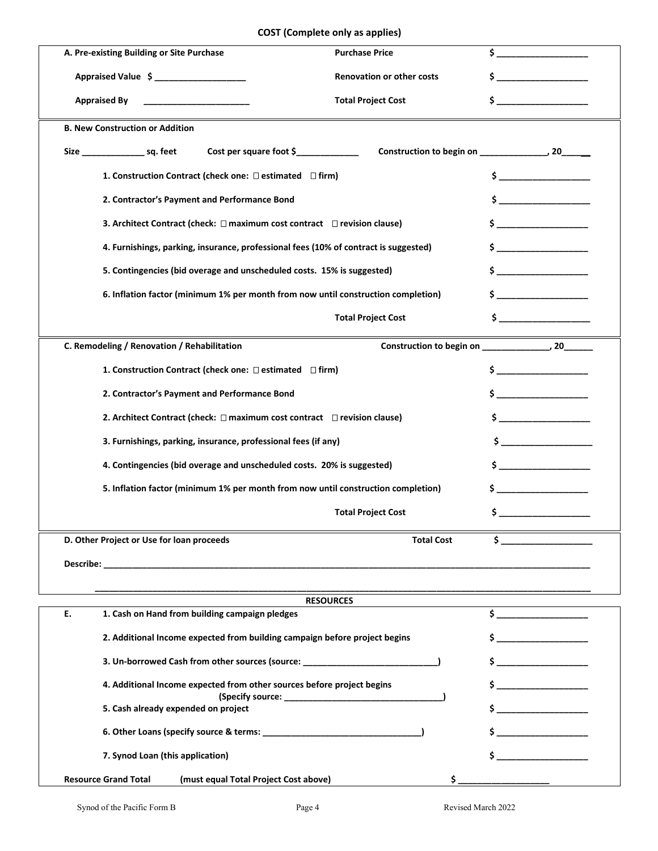#### **COST (Complete only as applies)**

| A. Pre-existing Building or Site Purchase                                          | <b>Purchase Price</b>                                                                                              |                                                                  |  |
|------------------------------------------------------------------------------------|--------------------------------------------------------------------------------------------------------------------|------------------------------------------------------------------|--|
| Appraised Value \$ ___________________                                             | Renovation or other costs                                                                                          |                                                                  |  |
| <b>Appraised By</b>                                                                | <b>Total Project Cost</b>                                                                                          | \$.                                                              |  |
| <b>B. New Construction or Addition</b>                                             |                                                                                                                    |                                                                  |  |
| Size ___________________ sq. feet                                                  |                                                                                                                    |                                                                  |  |
| 1. Construction Contract (check one: □ estimated □ firm)                           |                                                                                                                    |                                                                  |  |
| 2. Contractor's Payment and Performance Bond                                       |                                                                                                                    | $\mathsf{s}$ . The contract of $\mathsf{s}$                      |  |
| 3. Architect Contract (check: $\Box$ maximum cost contract $\Box$ revision clause) |                                                                                                                    |                                                                  |  |
|                                                                                    | 4. Furnishings, parking, insurance, professional fees (10% of contract is suggested)                               |                                                                  |  |
|                                                                                    | 5. Contingencies (bid overage and unscheduled costs. 15% is suggested)                                             |                                                                  |  |
|                                                                                    | 6. Inflation factor (minimum 1% per month from now until construction completion)                                  |                                                                  |  |
|                                                                                    | <b>Total Project Cost</b>                                                                                          | $\sim$ $\sim$                                                    |  |
| C. Remodeling / Renovation / Rehabilitation                                        |                                                                                                                    | Construction to begin on ________________, 20____                |  |
| 1. Construction Contract (check one: □ estimated □ firm)                           |                                                                                                                    |                                                                  |  |
| 2. Contractor's Payment and Performance Bond                                       |                                                                                                                    |                                                                  |  |
| 2. Architect Contract (check: $\Box$ maximum cost contract $\Box$ revision clause) |                                                                                                                    |                                                                  |  |
| 3. Furnishings, parking, insurance, professional fees (if any)                     |                                                                                                                    | $\mathsf{s}$ $\qquad \qquad$                                     |  |
|                                                                                    | 4. Contingencies (bid overage and unscheduled costs. 20% is suggested)                                             |                                                                  |  |
|                                                                                    | 5. Inflation factor (minimum 1% per month from now until construction completion)<br>$\mathsf{s}$ and $\mathsf{a}$ |                                                                  |  |
|                                                                                    | <b>Total Project Cost</b>                                                                                          |                                                                  |  |
| D. Other Project or Use for loan proceeds                                          | <b>Total Cost</b>                                                                                                  | \$.                                                              |  |
|                                                                                    |                                                                                                                    |                                                                  |  |
|                                                                                    |                                                                                                                    |                                                                  |  |
|                                                                                    | <b>RESOURCES</b>                                                                                                   |                                                                  |  |
| 1. Cash on Hand from building campaign pledges<br>Е.                               |                                                                                                                    | $\frac{1}{2}$                                                    |  |
| 2. Additional Income expected from building campaign before project begins         |                                                                                                                    | $\mathsf{\dot{S}}$ and $\mathsf{\dot{S}}$ and $\mathsf{\dot{S}}$ |  |
| 3. Un-borrowed Cash from other sources (source: ________________________________   |                                                                                                                    | $\mathsf{\hat{S}}$                                               |  |
| 4. Additional Income expected from other sources before project begins             |                                                                                                                    | $\mathsf{s}$ $\qquad \qquad$                                     |  |
| 5. Cash already expended on project                                                |                                                                                                                    |                                                                  |  |
|                                                                                    |                                                                                                                    |                                                                  |  |
| 7. Synod Loan (this application)                                                   |                                                                                                                    |                                                                  |  |
| (must equal Total Project Cost above)<br><b>Resource Grand Total</b>               |                                                                                                                    |                                                                  |  |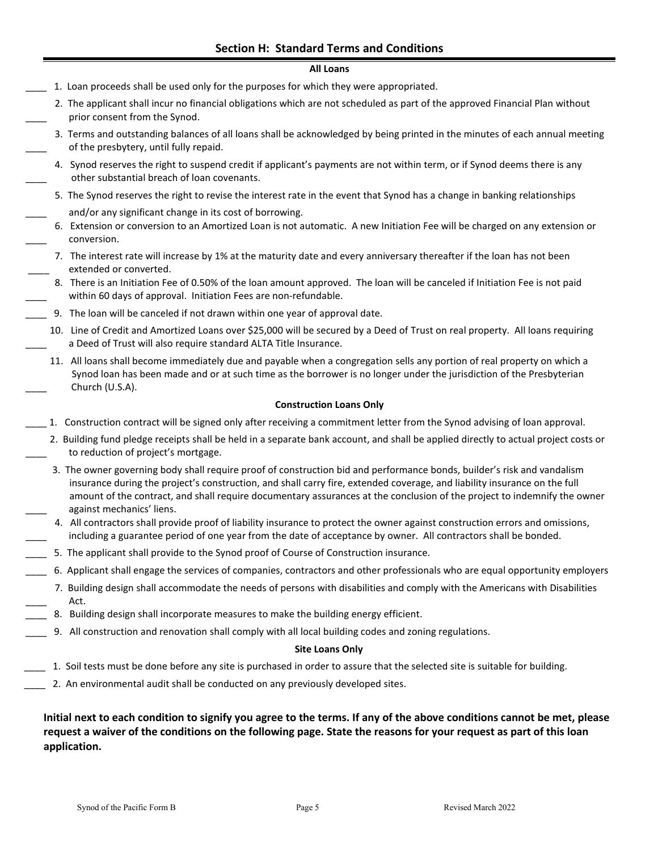#### **All Loans**

- 1. Loan proceeds shall be used only for the purposes for which they were appropriated.
- 2. The applicant shall incur no financial obligations which are not scheduled as part of the approved Financial Plan without prior consent from the Synod.
- 3. Terms and outstanding balances of all loans shall be acknowledged by being printed in the minutes of each annual meeting of the presbytery, until fully repaid.
- 4. Synod reserves the right to suspend credit if applicant's payments are not within term, or if Synod deems there is any other substantial breach of loan covenants.
	- 5. The Synod reserves the right to revise the interest rate in the event that Synod has a change in banking relationships and/or any significant change in its cost of borrowing.
- 6. Extension or conversion to an Amortized Loan is not automatic. A new Initiation Fee will be charged on any extension or \_\_\_\_ conversion.
	- 7. The interest rate will increase by 1% at the maturity date and every anniversary thereafter if the loan has not been extended or converted.
- 8. There is an Initiation Fee of 0.50% of the loan amount approved. The loan will be canceled if Initiation Fee is not paid within 60 days of approval. Initiation Fees are non-refundable.
- \_\_\_\_ 9. The loan will be canceled if not drawn within one year of approval date.
	- 10. Line of Credit and Amortized Loans over \$25,000 will be secured by a Deed of Trust on real property. All loans requiring a Deed of Trust will also require standard ALTA Title Insurance.
		- 11. All loans shall become immediately due and payable when a congregation sells any portion of real property on which a Synod loan has been made and or at such time as the borrower is no longer under the jurisdiction of the Presbyterian Church (U.S.A).

#### **Construction Loans Only**

- \_\_\_\_ 1. Construction contract will be signed only after receiving a commitment letter from the Synod advising of loan approval.
- 2. Building fund pledge receipts shall be held in a separate bank account, and shall be applied directly to actual project costs or to reduction of project's mortgage.
	- 3. The owner governing body shall require proof of construction bid and performance bonds, builder's risk and vandalism insurance during the project's construction, and shall carry fire, extended coverage, and liability insurance on the full amount of the contract, and shall require documentary assurances at the conclusion of the project to indemnify the owner against mechanics' liens.
- 4. All contractors shall provide proof of liability insurance to protect the owner against construction errors and omissions, including a guarantee period of one year from the date of acceptance by owner. All contractors shall be bonded.
- \_\_\_\_ 5. The applicant shall provide to the Synod proof of Course of Construction insurance.
- \_\_\_\_ 6. Applicant shall engage the services of companies, contractors and other professionals who are equal opportunity employers
	- 7. Building design shall accommodate the needs of persons with disabilities and comply with the Americans with Disabilities Act.
- 8. Building design shall incorporate measures to make the building energy efficient.
- 9. All construction and renovation shall comply with all local building codes and zoning regulations.

#### **Site Loans Only**

- \_\_\_\_ 1. Soil tests must be done before any site is purchased in order to assure that the selected site is suitable for building.
- \_\_\_\_ 2. An environmental audit shall be conducted on any previously developed sites.

**Initial next to each condition to signify you agree to the terms. If any of the above conditions cannot be met, please request a waiver of the conditions on the following page. State the reasons for your request as part of this loan application.**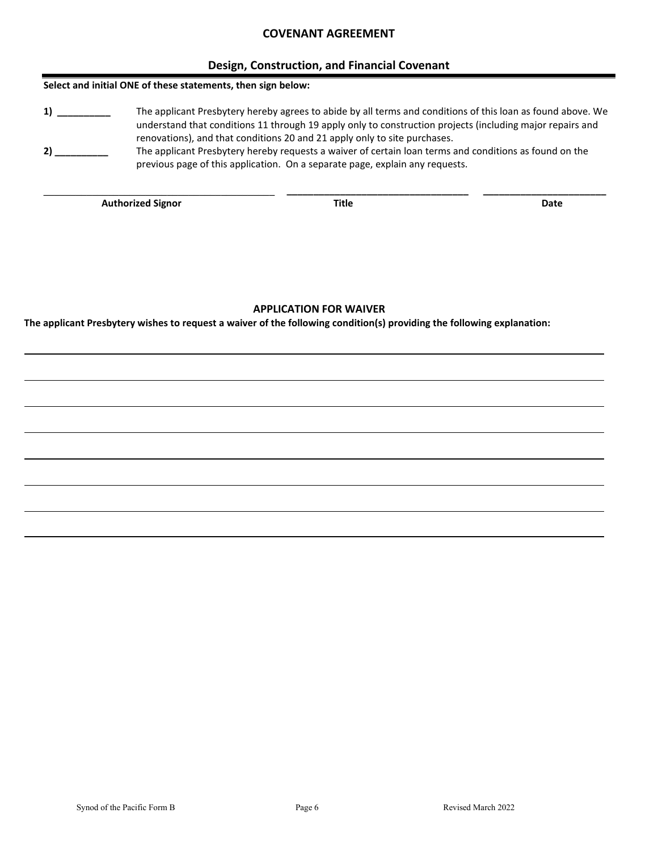#### **COVENANT AGREEMENT**

#### **Design, Construction, and Financial Covenant**

#### **Select and initial ONE of these statements, then sign below:**

**1) \_\_\_\_\_\_\_\_\_\_** The applicant Presbytery hereby agrees to abide by all terms and conditions of this loan as found above. We understand that conditions 11 through 19 apply only to construction projects (including major repairs and renovations), and that conditions 20 and 21 apply only to site purchases.

**\_\_\_\_\_\_\_\_\_\_\_\_\_\_\_\_\_\_\_\_\_\_\_\_\_\_\_\_\_\_\_\_\_\_\_\_\_\_\_\_\_\_\_ \_\_\_\_\_\_\_\_\_\_\_\_\_\_\_\_\_\_\_\_\_\_\_\_\_\_\_\_\_\_\_\_\_\_ \_\_\_\_\_\_\_\_\_\_\_\_\_\_\_\_\_\_\_\_\_\_\_** 

**2) \_\_\_\_\_\_\_\_\_\_** The applicant Presbytery hereby requests a waiver of certain loan terms and conditions as found on the previous page of this application. On a separate page, explain any requests.

**Authorized Signor Community Community Community Community Community Community Community Community Community Community Community Community Community Community Community Community Community Community Community Community Com** 

#### **APPLICATION FOR WAIVER**

**The applicant Presbytery wishes to request a waiver of the following condition(s) providing the following explanation:**